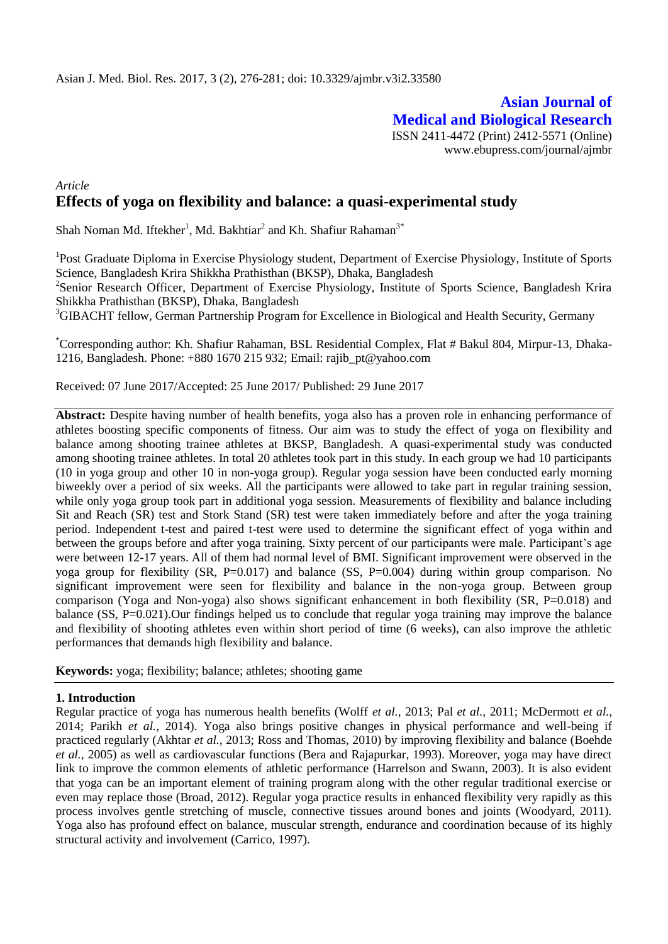# **Asian Journal of Medical and Biological Research** ISSN 2411-4472 (Print) 2412-5571 (Online) www.ebupress.com/journal/ajmbr

# *Article* **Effects of yoga on flexibility and balance: a quasi-experimental study**

Shah Noman Md. Iftekher<sup>1</sup>, Md. Bakhtiar<sup>2</sup> and Kh. Shafiur Rahaman<sup>3\*</sup>

<sup>1</sup>Post Graduate Diploma in Exercise Physiology student, Department of Exercise Physiology, Institute of Sports Science, Bangladesh Krira Shikkha Prathisthan (BKSP), Dhaka, Bangladesh <sup>2</sup>Senior Research Officer, Department of Exercise Physiology, Institute of Sports Science, Bangladesh Krira Shikkha Prathisthan (BKSP), Dhaka, Bangladesh <sup>3</sup>GIBACHT fellow, German Partnership Program for Excellence in Biological and Health Security, Germany

\*Corresponding author: Kh. Shafiur Rahaman, BSL Residential Complex, Flat # Bakul 804, Mirpur-13, Dhaka-1216, Bangladesh. Phone: +880 1670 215 932; Email: [rajib\\_pt@yahoo.com](mailto:rajib_pt@yahoo.com)

Received: 07 June 2017/Accepted: 25 June 2017/ Published: 29 June 2017

**Abstract:** Despite having number of health benefits, yoga also has a proven role in enhancing performance of athletes boosting specific components of fitness. Our aim was to study the effect of yoga on flexibility and balance among shooting trainee athletes at BKSP, Bangladesh. A quasi-experimental study was conducted among shooting trainee athletes. In total 20 athletes took part in this study. In each group we had 10 participants (10 in yoga group and other 10 in non-yoga group). Regular yoga session have been conducted early morning biweekly over a period of six weeks. All the participants were allowed to take part in regular training session, while only yoga group took part in additional yoga session. Measurements of flexibility and balance including Sit and Reach (SR) test and Stork Stand (SR) test were taken immediately before and after the yoga training period. Independent t-test and paired t-test were used to determine the significant effect of yoga within and between the groups before and after yoga training. Sixty percent of our participants were male. Participant's age were between 12-17 years. All of them had normal level of BMI. Significant improvement were observed in the yoga group for flexibility (SR, P=0.017) and balance (SS, P=0.004) during within group comparison. No significant improvement were seen for flexibility and balance in the non-yoga group. Between group comparison (Yoga and Non-yoga) also shows significant enhancement in both flexibility (SR, P=0.018) and balance (SS, P=0.021). Our findings helped us to conclude that regular yoga training may improve the balance and flexibility of shooting athletes even within short period of time (6 weeks), can also improve the athletic performances that demands high flexibility and balance.

**Keywords:** yoga; flexibility; balance; athletes; shooting game

## **1. Introduction**

Regular practice of yoga has numerous health benefits (Wolff *et al.,* 2013; Pal *et al.,* 2011; McDermott *et al.,* 2014; Parikh *et al.,* 2014). Yoga also brings positive changes in physical performance and well-being if practiced regularly (Akhtar *et al.,* 2013; Ross and Thomas, 2010) by improving flexibility and balance (Boehde *et al.,* 2005) as well as cardiovascular functions (Bera and Rajapurkar, 1993). Moreover, yoga may have direct link to improve the common elements of athletic performance (Harrelson and Swann, 2003). It is also evident that yoga can be an important element of training program along with the other regular traditional exercise or even may replace those (Broad, 2012). Regular yoga practice results in enhanced flexibility very rapidly as this process involves gentle stretching of muscle, connective tissues around bones and joints (Woodyard, 2011). Yoga also has profound effect on balance, muscular strength, endurance and coordination because of its highly structural activity and involvement (Carrico, 1997).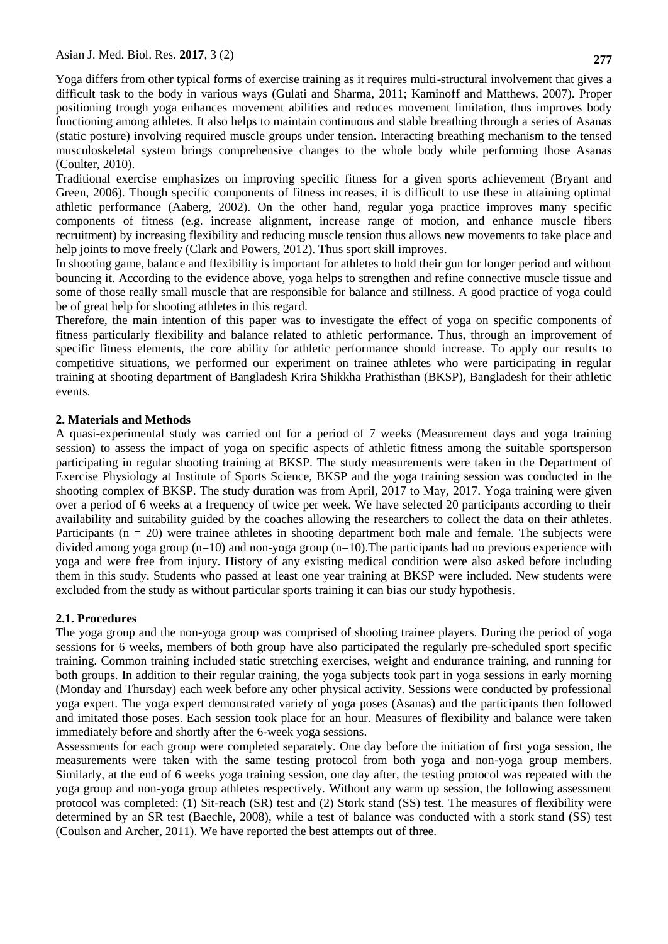Yoga differs from other typical forms of exercise training as it requires multi-structural involvement that gives a difficult task to the body in various ways (Gulati and Sharma, 2011; Kaminoff and Matthews, 2007). Proper positioning trough yoga enhances movement abilities and reduces movement limitation, thus improves body functioning among athletes. It also helps to maintain continuous and stable breathing through a series of Asanas (static posture) involving required muscle groups under tension. Interacting breathing mechanism to the tensed musculoskeletal system brings comprehensive changes to the whole body while performing those Asanas (Coulter, 2010).

Traditional exercise emphasizes on improving specific fitness for a given sports achievement (Bryant and Green, 2006). Though specific components of fitness increases, it is difficult to use these in attaining optimal athletic performance (Aaberg, 2002). On the other hand, regular yoga practice improves many specific components of fitness (e.g. increase alignment, increase range of motion, and enhance muscle fibers recruitment) by increasing flexibility and reducing muscle tension thus allows new movements to take place and help joints to move freely (Clark and Powers, 2012). Thus sport skill improves.

In shooting game, balance and flexibility is important for athletes to hold their gun for longer period and without bouncing it. According to the evidence above, yoga helps to strengthen and refine connective muscle tissue and some of those really small muscle that are responsible for balance and stillness. A good practice of yoga could be of great help for shooting athletes in this regard.

Therefore, the main intention of this paper was to investigate the effect of yoga on specific components of fitness particularly flexibility and balance related to athletic performance. Thus, through an improvement of specific fitness elements, the core ability for athletic performance should increase. To apply our results to competitive situations, we performed our experiment on trainee athletes who were participating in regular training at shooting department of Bangladesh Krira Shikkha Prathisthan (BKSP), Bangladesh for their athletic events.

## **2. Materials and Methods**

A quasi-experimental study was carried out for a period of 7 weeks (Measurement days and yoga training session) to assess the impact of yoga on specific aspects of athletic fitness among the suitable sportsperson participating in regular shooting training at BKSP. The study measurements were taken in the Department of Exercise Physiology at Institute of Sports Science, BKSP and the yoga training session was conducted in the shooting complex of BKSP. The study duration was from April, 2017 to May, 2017. Yoga training were given over a period of 6 weeks at a frequency of twice per week. We have selected 20 participants according to their availability and suitability guided by the coaches allowing the researchers to collect the data on their athletes. Participants ( $n = 20$ ) were trainee athletes in shooting department both male and female. The subjects were divided among yoga group  $(n=10)$  and non-yoga group  $(n=10)$ . The participants had no previous experience with yoga and were free from injury. History of any existing medical condition were also asked before including them in this study. Students who passed at least one year training at BKSP were included. New students were excluded from the study as without particular sports training it can bias our study hypothesis.

## **2.1. Procedures**

The yoga group and the non-yoga group was comprised of shooting trainee players. During the period of yoga sessions for 6 weeks, members of both group have also participated the regularly pre-scheduled sport specific training. Common training included static stretching exercises, weight and endurance training, and running for both groups. In addition to their regular training, the yoga subjects took part in yoga sessions in early morning (Monday and Thursday) each week before any other physical activity. Sessions were conducted by professional yoga expert. The yoga expert demonstrated variety of yoga poses (Asanas) and the participants then followed and imitated those poses. Each session took place for an hour. Measures of flexibility and balance were taken immediately before and shortly after the 6-week yoga sessions.

Assessments for each group were completed separately. One day before the initiation of first yoga session, the measurements were taken with the same testing protocol from both yoga and non-yoga group members. Similarly, at the end of 6 weeks yoga training session, one day after, the testing protocol was repeated with the yoga group and non-yoga group athletes respectively. Without any warm up session, the following assessment protocol was completed: (1) Sit-reach (SR) test and (2) Stork stand (SS) test. The measures of flexibility were determined by an SR test (Baechle, 2008), while a test of balance was conducted with a stork stand (SS) test (Coulson and Archer, 2011). We have reported the best attempts out of three.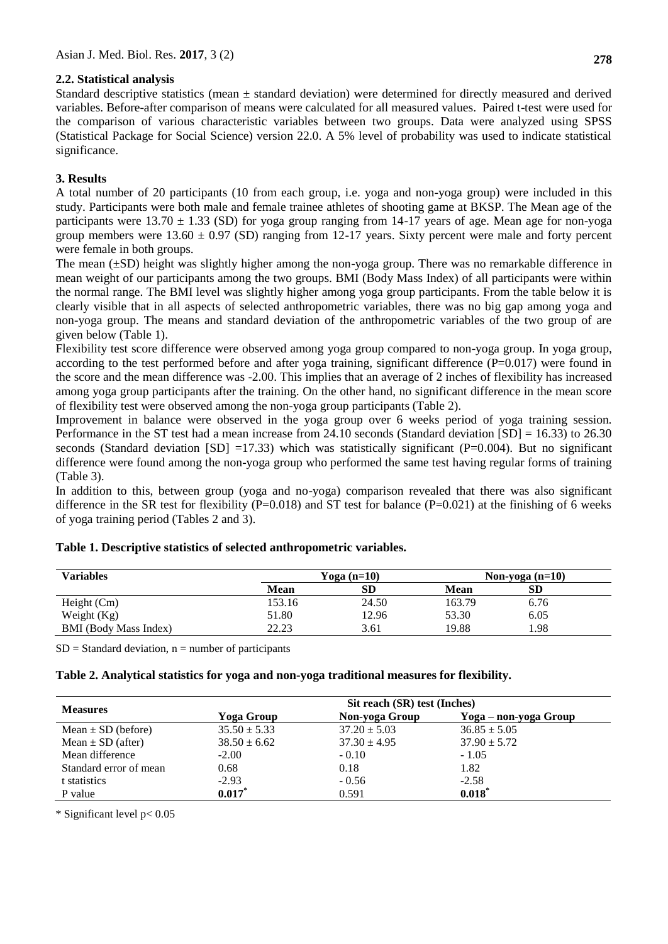## **2.2. Statistical analysis**

Standard descriptive statistics (mean  $\pm$  standard deviation) were determined for directly measured and derived variables. Before-after comparison of means were calculated for all measured values. Paired t-test were used for the comparison of various characteristic variables between two groups. Data were analyzed using SPSS (Statistical Package for Social Science) version 22.0. A 5% level of probability was used to indicate statistical significance.

# **3. Results**

A total number of 20 participants (10 from each group, i.e. yoga and non-yoga group) were included in this study. Participants were both male and female trainee athletes of shooting game at BKSP. The Mean age of the participants were 13.70  $\pm$  1.33 (SD) for yoga group ranging from 14-17 years of age. Mean age for non-yoga group members were  $13.60 \pm 0.97$  (SD) ranging from 12-17 years. Sixty percent were male and forty percent were female in both groups.

The mean  $(\pm SD)$  height was slightly higher among the non-yoga group. There was no remarkable difference in mean weight of our participants among the two groups. BMI (Body Mass Index) of all participants were within the normal range. The BMI level was slightly higher among yoga group participants. From the table below it is clearly visible that in all aspects of selected anthropometric variables, there was no big gap among yoga and non-yoga group. The means and standard deviation of the anthropometric variables of the two group of are given below (Table 1).

Flexibility test score difference were observed among yoga group compared to non-yoga group. In yoga group, according to the test performed before and after yoga training, significant difference (P=0.017) were found in the score and the mean difference was -2.00. This implies that an average of 2 inches of flexibility has increased among yoga group participants after the training. On the other hand, no significant difference in the mean score of flexibility test were observed among the non-yoga group participants (Table 2).

Improvement in balance were observed in the yoga group over 6 weeks period of yoga training session. Performance in the ST test had a mean increase from 24.10 seconds (Standard deviation [SD] = 16.33) to 26.30 seconds (Standard deviation  $[SD] = 17.33$ ) which was statistically significant  $(P=0.004)$ . But no significant difference were found among the non-yoga group who performed the same test having regular forms of training (Table 3).

In addition to this, between group (yoga and no-yoga) comparison revealed that there was also significant difference in the SR test for flexibility (P=0.018) and ST test for balance (P=0.021) at the finishing of 6 weeks of yoga training period (Tables 2 and 3).

| <b>Variables</b>             | Yoga (n=10) |           | Non-yoga $(n=10)$ |           |  |
|------------------------------|-------------|-----------|-------------------|-----------|--|
|                              | <b>Mean</b> | <b>SD</b> | Mean              | <b>SD</b> |  |
| Height $(Cm)$                | 153.16      | 24.50     | 163.79            | 6.76      |  |
| Weight $(Kg)$                | 51.80       | 12.96     | 53.30             | 6.05      |  |
| <b>BMI</b> (Body Mass Index) | 22.23       | 3.61      | 19.88             | . .98     |  |

## **Table 1. Descriptive statistics of selected anthropometric variables.**

 $SD = Standard deviation, n = number of participants$ 

## **Table 2. Analytical statistics for yoga and non-yoga traditional measures for flexibility.**

|                        | Sit reach (SR) test (Inches) |                  |                       |  |
|------------------------|------------------------------|------------------|-----------------------|--|
| <b>Measures</b>        | Yoga Group                   | Non-yoga Group   | Yoga – non-yoga Group |  |
| Mean $\pm$ SD (before) | $35.50 \pm 5.33$             | $37.20 \pm 5.03$ | $36.85 \pm 5.05$      |  |
| Mean $\pm$ SD (after)  | $38.50 \pm 6.62$             | $37.30 \pm 4.95$ | $37.90 \pm 5.72$      |  |
| Mean difference        | $-2.00$                      | $-0.10$          | $-1.05$               |  |
| Standard error of mean | 0.68                         | 0.18             | 1.82                  |  |
| t statistics           | $-2.93$                      | $-0.56$          | $-2.58$               |  |
| P value                | $0.017$ *                    | 0.591            | 0.018                 |  |

\* Significant level p< 0.05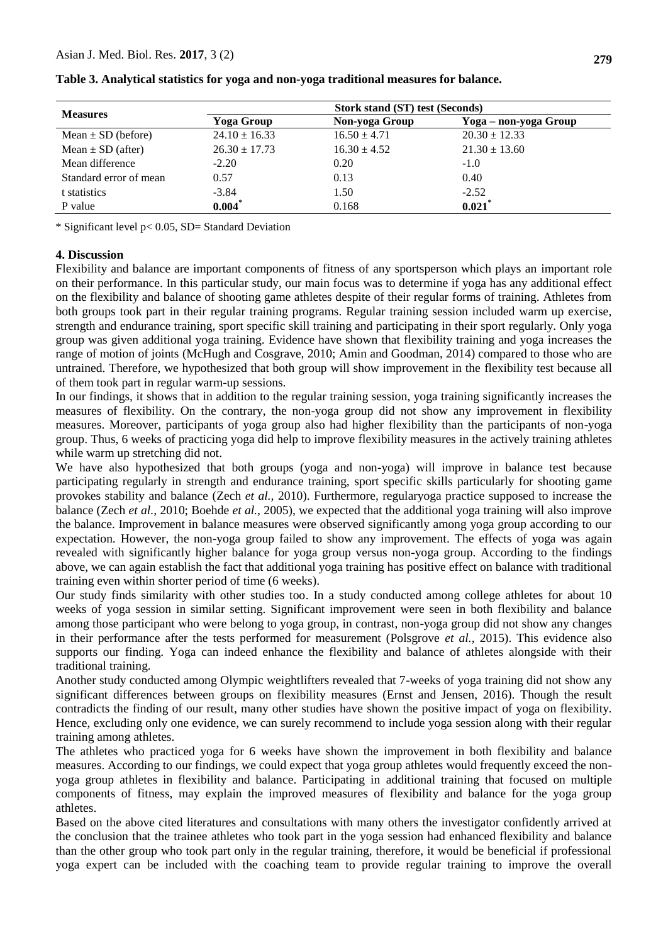| <b>Measures</b>        | <b>Stork stand (ST) test (Seconds)</b> |                  |                       |  |
|------------------------|----------------------------------------|------------------|-----------------------|--|
|                        | Yoga Group                             | Non-yoga Group   | Yoga – non-yoga Group |  |
| Mean $\pm$ SD (before) | $24.10 \pm 16.33$                      | $16.50 \pm 4.71$ | $20.30 \pm 12.33$     |  |
| Mean $\pm$ SD (after)  | $26.30 \pm 17.73$                      | $16.30 \pm 4.52$ | $21.30 \pm 13.60$     |  |
| Mean difference        | $-2.20$                                | 0.20             | $-1.0$                |  |
| Standard error of mean | 0.57                                   | 0.13             | 0.40                  |  |
| t statistics           | $-3.84$                                | 1.50             | $-2.52$               |  |
| P value                | $0.004*$                               | 0.168            | $0.021$ *             |  |

**Table 3. Analytical statistics for yoga and non-yoga traditional measures for balance.**

\* Significant level p< 0.05, SD= Standard Deviation

#### **4. Discussion**

Flexibility and balance are important components of fitness of any sportsperson which plays an important role on their performance. In this particular study, our main focus was to determine if yoga has any additional effect on the flexibility and balance of shooting game athletes despite of their regular forms of training. Athletes from both groups took part in their regular training programs. Regular training session included warm up exercise, strength and endurance training, sport specific skill training and participating in their sport regularly. Only yoga group was given additional yoga training. Evidence have shown that flexibility training and yoga increases the range of motion of joints (McHugh and Cosgrave, 2010; Amin and Goodman, 2014) compared to those who are untrained. Therefore, we hypothesized that both group will show improvement in the flexibility test because all of them took part in regular warm-up sessions.

In our findings, it shows that in addition to the regular training session, yoga training significantly increases the measures of flexibility. On the contrary, the non-yoga group did not show any improvement in flexibility measures. Moreover, participants of yoga group also had higher flexibility than the participants of non-yoga group. Thus, 6 weeks of practicing yoga did help to improve flexibility measures in the actively training athletes while warm up stretching did not.

We have also hypothesized that both groups (yoga and non-yoga) will improve in balance test because participating regularly in strength and endurance training, sport specific skills particularly for shooting game provokes stability and balance (Zech *et al.,* 2010). Furthermore, regularyoga practice supposed to increase the balance (Zech *et al.,* 2010; Boehde *et al.,* 2005), we expected that the additional yoga training will also improve the balance. Improvement in balance measures were observed significantly among yoga group according to our expectation. However, the non-yoga group failed to show any improvement. The effects of yoga was again revealed with significantly higher balance for yoga group versus non-yoga group. According to the findings above, we can again establish the fact that additional yoga training has positive effect on balance with traditional training even within shorter period of time (6 weeks).

Our study finds similarity with other studies too. In a study conducted among college athletes for about 10 weeks of yoga session in similar setting. Significant improvement were seen in both flexibility and balance among those participant who were belong to yoga group, in contrast, non-yoga group did not show any changes in their performance after the tests performed for measurement (Polsgrove *et al.,* 2015). This evidence also supports our finding. Yoga can indeed enhance the flexibility and balance of athletes alongside with their traditional training.

Another study conducted among Olympic weightlifters revealed that 7-weeks of yoga training did not show any significant differences between groups on flexibility measures (Ernst and Jensen, 2016). Though the result contradicts the finding of our result, many other studies have shown the positive impact of yoga on flexibility. Hence, excluding only one evidence, we can surely recommend to include yoga session along with their regular training among athletes.

The athletes who practiced yoga for 6 weeks have shown the improvement in both flexibility and balance measures. According to our findings, we could expect that yoga group athletes would frequently exceed the nonyoga group athletes in flexibility and balance. Participating in additional training that focused on multiple components of fitness, may explain the improved measures of flexibility and balance for the yoga group athletes.

Based on the above cited literatures and consultations with many others the investigator confidently arrived at the conclusion that the trainee athletes who took part in the yoga session had enhanced flexibility and balance than the other group who took part only in the regular training, therefore, it would be beneficial if professional yoga expert can be included with the coaching team to provide regular training to improve the overall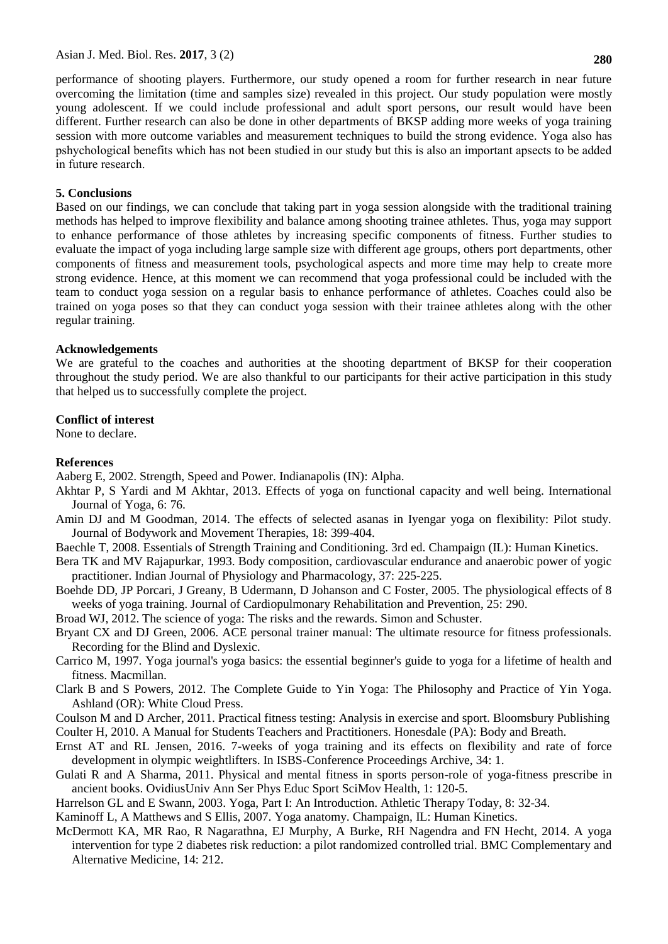performance of shooting players. Furthermore, our study opened a room for further research in near future overcoming the limitation (time and samples size) revealed in this project. Our study population were mostly young adolescent. If we could include professional and adult sport persons, our result would have been different. Further research can also be done in other departments of BKSP adding more weeks of yoga training session with more outcome variables and measurement techniques to build the strong evidence. Yoga also has pshychological benefits which has not been studied in our study but this is also an important apsects to be added in future research.

### **5. Conclusions**

Based on our findings, we can conclude that taking part in yoga session alongside with the traditional training methods has helped to improve flexibility and balance among shooting trainee athletes. Thus, yoga may support to enhance performance of those athletes by increasing specific components of fitness. Further studies to evaluate the impact of yoga including large sample size with different age groups, others port departments, other components of fitness and measurement tools, psychological aspects and more time may help to create more strong evidence. Hence, at this moment we can recommend that yoga professional could be included with the team to conduct yoga session on a regular basis to enhance performance of athletes. Coaches could also be trained on yoga poses so that they can conduct yoga session with their trainee athletes along with the other regular training.

#### **Acknowledgements**

We are grateful to the coaches and authorities at the shooting department of BKSP for their cooperation throughout the study period. We are also thankful to our participants for their active participation in this study that helped us to successfully complete the project.

### **Conflict of interest**

None to declare.

### **References**

Aaberg E, 2002. Strength, Speed and Power. Indianapolis (IN): Alpha.

- Akhtar P, S Yardi and M Akhtar, 2013. Effects of yoga on functional capacity and well being. International Journal of Yoga, 6: 76.
- Amin DJ and M Goodman, 2014. The effects of selected asanas in Iyengar yoga on flexibility: Pilot study. Journal of Bodywork and Movement Therapies, 18: 399-404.
- Baechle T, 2008. Essentials of Strength Training and Conditioning. 3rd ed. Champaign (IL): Human Kinetics.
- Bera TK and MV Rajapurkar, 1993. Body composition, cardiovascular endurance and anaerobic power of yogic practitioner. Indian Journal of Physiology and Pharmacology, 37: 225-225.
- Boehde DD, JP Porcari, J Greany, B Udermann, D Johanson and C Foster, 2005. The physiological effects of 8 weeks of yoga training. Journal of Cardiopulmonary Rehabilitation and Prevention, 25: 290.
- Broad WJ, 2012. The science of yoga: The risks and the rewards. Simon and Schuster.
- Bryant CX and DJ Green, 2006. ACE personal trainer manual: The ultimate resource for fitness professionals. Recording for the Blind and Dyslexic.
- Carrico M, 1997. Yoga journal's yoga basics: the essential beginner's guide to yoga for a lifetime of health and fitness. Macmillan.
- Clark B and S Powers, 2012. The Complete Guide to Yin Yoga: The Philosophy and Practice of Yin Yoga. Ashland (OR): White Cloud Press.
- Coulson M and D Archer, 2011. Practical fitness testing: Analysis in exercise and sport. Bloomsbury Publishing

Coulter H, 2010. A Manual for Students Teachers and Practitioners. Honesdale (PA): Body and Breath.

- Ernst AT and RL Jensen, 2016. 7-weeks of yoga training and its effects on flexibility and rate of force development in olympic weightlifters. In ISBS-Conference Proceedings Archive, 34: 1.
- Gulati R and A Sharma, 2011. Physical and mental fitness in sports person-role of yoga-fitness prescribe in ancient books. OvidiusUniv Ann Ser Phys Educ Sport SciMov Health, 1: 120-5.
- Harrelson GL and E Swann, 2003. Yoga, Part I: An Introduction. Athletic Therapy Today, 8: 32-34.

Kaminoff L, A Matthews and S Ellis, 2007. Yoga anatomy. Champaign, IL: Human Kinetics.

McDermott KA, MR Rao, R Nagarathna, EJ Murphy, A Burke, RH Nagendra and FN Hecht, 2014. A yoga intervention for type 2 diabetes risk reduction: a pilot randomized controlled trial. BMC Complementary and Alternative Medicine, 14: 212.